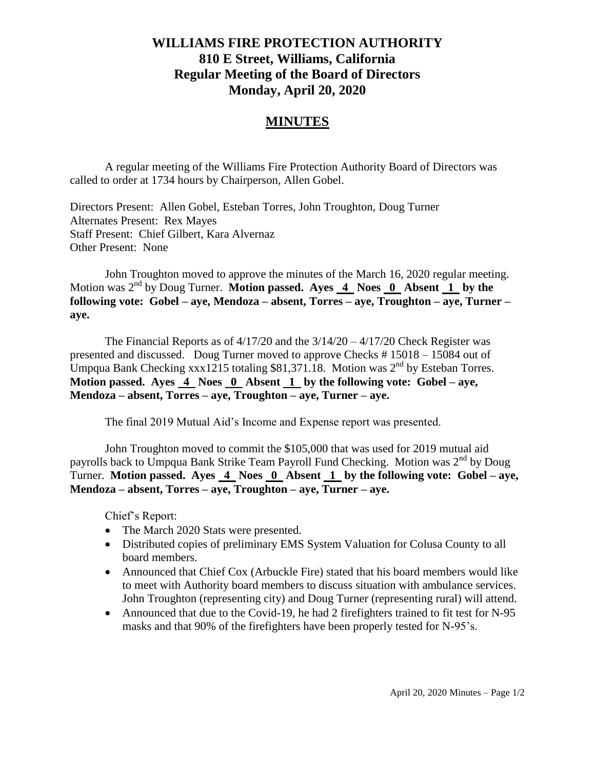## **WILLIAMS FIRE PROTECTION AUTHORITY 810 E Street, Williams, California Regular Meeting of the Board of Directors Monday, April 20, 2020**

## **MINUTES**

A regular meeting of the Williams Fire Protection Authority Board of Directors was called to order at 1734 hours by Chairperson, Allen Gobel.

Directors Present: Allen Gobel, Esteban Torres, John Troughton, Doug Turner Alternates Present: Rex Mayes Staff Present: Chief Gilbert, Kara Alvernaz Other Present: None

John Troughton moved to approve the minutes of the March 16, 2020 regular meeting. Motion was 2<sup>nd</sup> by Doug Turner. **Motion passed.** Ayes 4 Noes 0 Absent 1 by the **following vote: Gobel – aye, Mendoza – absent, Torres – aye, Troughton – aye, Turner – aye.**

The Financial Reports as of 4/17/20 and the 3/14/20 – 4/17/20 Check Register was presented and discussed. Doug Turner moved to approve Checks # 15018 – 15084 out of Umpqua Bank Checking xxx1215 totaling \$81,371.18. Motion was 2<sup>nd</sup> by Esteban Torres. **Motion passed. Ayes 4 Noes 0 Absent 1 by the following vote: Gobel – aye, Mendoza – absent, Torres – aye, Troughton – aye, Turner – aye.**

The final 2019 Mutual Aid's Income and Expense report was presented.

John Troughton moved to commit the \$105,000 that was used for 2019 mutual aid payrolls back to Umpqua Bank Strike Team Payroll Fund Checking. Motion was 2<sup>nd</sup> by Doug Turner. **Motion passed. Ayes 4 Noes 0 Absent 1 by the following vote: Gobel – aye, Mendoza – absent, Torres – aye, Troughton – aye, Turner – aye.**

Chief's Report:

- The March 2020 Stats were presented.
- Distributed copies of preliminary EMS System Valuation for Colusa County to all board members.
- Announced that Chief Cox (Arbuckle Fire) stated that his board members would like to meet with Authority board members to discuss situation with ambulance services. John Troughton (representing city) and Doug Turner (representing rural) will attend.
- Announced that due to the Covid-19, he had 2 firefighters trained to fit test for N-95 masks and that 90% of the firefighters have been properly tested for N-95's.